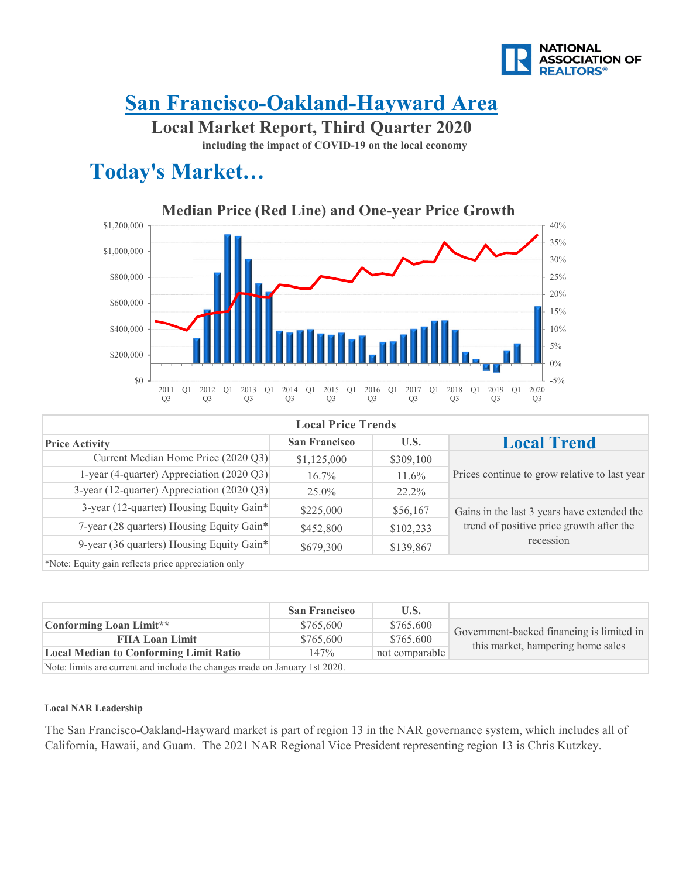

### **San Francisco-Oakland-Hayward Area**

**Local Market Report, Third Quarter 2020**

**including the impact of COVID-19 on the local economy**

### **Today's Market…**



| <b>Local Price Trends</b>                  |                      |           |                                               |  |
|--------------------------------------------|----------------------|-----------|-----------------------------------------------|--|
| <b>Price Activity</b>                      | <b>San Francisco</b> | U.S.      | <b>Local Trend</b>                            |  |
| Current Median Home Price (2020 Q3)        | \$1,125,000          | \$309,100 |                                               |  |
| 1-year (4-quarter) Appreciation (2020 Q3)  | $16.7\%$             | $11.6\%$  | Prices continue to grow relative to last year |  |
| 3-year (12-quarter) Appreciation (2020 Q3) | $25.0\%$             | 22.2%     |                                               |  |
| 3-year (12-quarter) Housing Equity Gain*   | \$225,000            | \$56,167  | Gains in the last 3 years have extended the   |  |
| 7-year (28 quarters) Housing Equity Gain*  | \$452,800            | \$102,233 | trend of positive price growth after the      |  |
| 9-year (36 quarters) Housing Equity Gain*  | \$679,300            | \$139,867 | recession                                     |  |
|                                            |                      |           |                                               |  |

\*Note: Equity gain reflects price appreciation only

|                                                                             | <b>San Francisco</b> | U.S.           |                                           |
|-----------------------------------------------------------------------------|----------------------|----------------|-------------------------------------------|
| Conforming Loan Limit**                                                     | \$765,600            | \$765,600      | Government-backed financing is limited in |
| <b>FHA Loan Limit</b>                                                       | \$765,600            | \$765,600      |                                           |
| <b>Local Median to Conforming Limit Ratio</b>                               | 147%                 | not comparable | this market, hampering home sales         |
| Note: limits are current and include the changes made on January 1st $2020$ |                      |                |                                           |

Note: limits are current and include the changes made on January 1st 2020.

#### **Local NAR Leadership**

The San Francisco-Oakland-Hayward market is part of region 13 in the NAR governance system, which includes all of California, Hawaii, and Guam. The 2021 NAR Regional Vice President representing region 13 is Chris Kutzkey.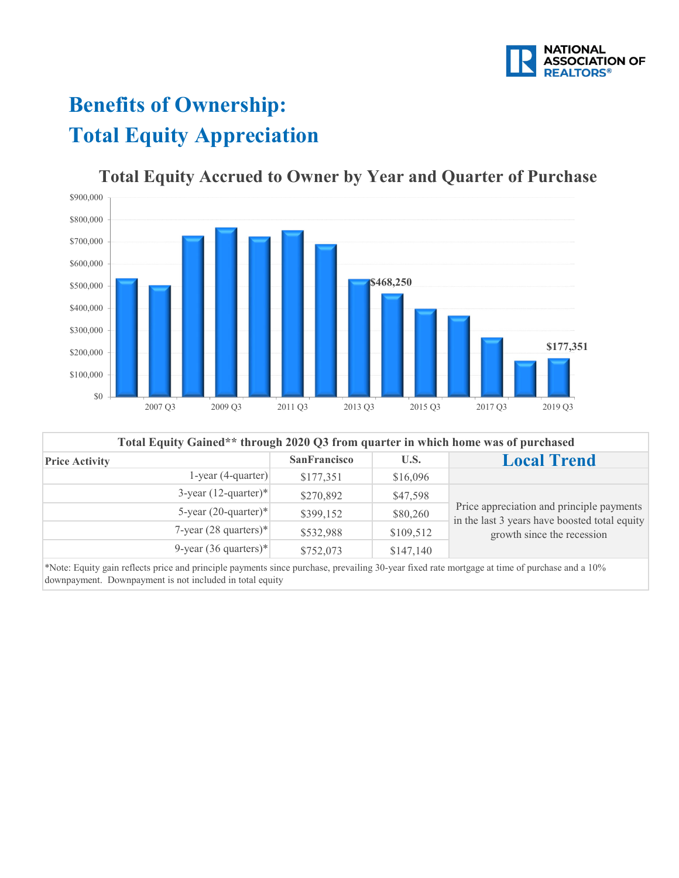

# **Benefits of Ownership: Total Equity Appreciation**



#### **Total Equity Accrued to Owner by Year and Quarter of Purchase**

| Total Equity Gained** through 2020 Q3 from quarter in which home was of purchased |                     |           |                                                                                                                          |  |
|-----------------------------------------------------------------------------------|---------------------|-----------|--------------------------------------------------------------------------------------------------------------------------|--|
| <b>Price Activity</b>                                                             | <b>SanFrancisco</b> | U.S.      | <b>Local Trend</b>                                                                                                       |  |
| $1$ -year (4-quarter)                                                             | \$177,351           | \$16,096  |                                                                                                                          |  |
| $3$ -year $(12$ -quarter)*                                                        | \$270,892           | \$47,598  | Price appreciation and principle payments<br>in the last 3 years have boosted total equity<br>growth since the recession |  |
| 5-year $(20$ -quarter)*                                                           | \$399,152           | \$80,260  |                                                                                                                          |  |
| 7-year $(28$ quarters)*                                                           | \$532,988           | \$109,512 |                                                                                                                          |  |
| 9-year $(36$ quarters)*                                                           | \$752,073           | \$147,140 |                                                                                                                          |  |

\*Note: Equity gain reflects price and principle payments since purchase, prevailing 30-year fixed rate mortgage at time of purchase and a 10% downpayment. Downpayment is not included in total equity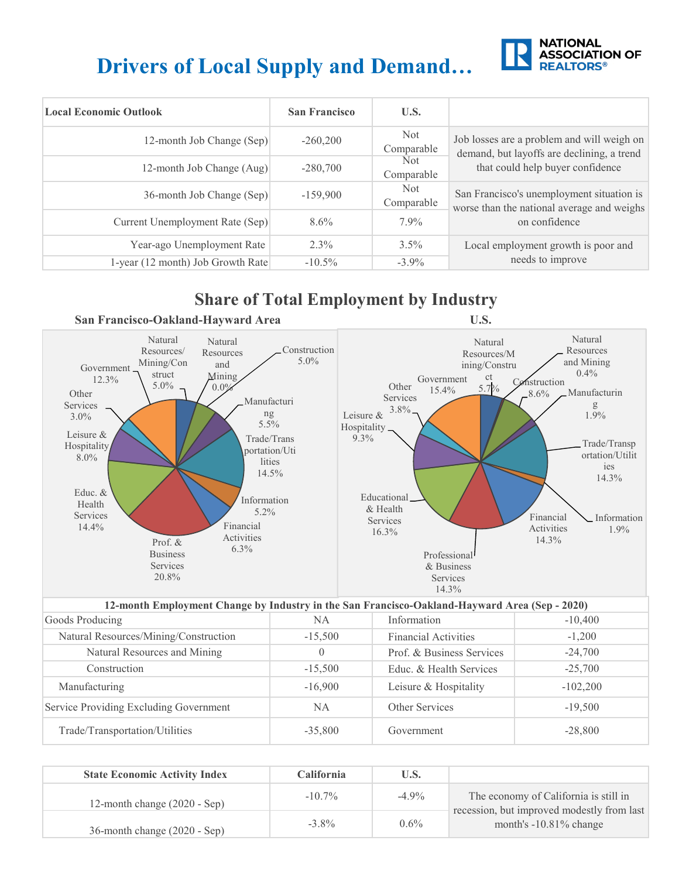# **Drivers of Local Supply and Demand…**



| <b>Local Economic Outlook</b>     | <b>San Francisco</b> | U.S.               |                                                                                          |
|-----------------------------------|----------------------|--------------------|------------------------------------------------------------------------------------------|
| 12-month Job Change (Sep)         | $-260,200$           | Not<br>Comparable  | Job losses are a problem and will weigh on<br>demand, but layoffs are declining, a trend |
| 12-month Job Change (Aug)         | $-280,700$           | Not.<br>Comparable | that could help buyer confidence                                                         |
| 36-month Job Change (Sep)         | $-159,900$           | Not<br>Comparable  | San Francisco's unemployment situation is<br>worse than the national average and weighs  |
| Current Unemployment Rate (Sep)   | $8.6\%$              | $7.9\%$            | on confidence                                                                            |
| Year-ago Unemployment Rate        | $2.3\%$              | $3.5\%$            | Local employment growth is poor and                                                      |
| 1-year (12 month) Job Growth Rate | $-10.5\%$            | $-3.9\%$           | needs to improve                                                                         |

### **Share of Total Employment by Industry**



| 12-month Employment Change by Industry in the San Francisco-Oakland-Hayward Area (Sep - 2020) |                  |                             |            |  |
|-----------------------------------------------------------------------------------------------|------------------|-----------------------------|------------|--|
| Goods Producing                                                                               | NA               | Information                 | $-10,400$  |  |
| Natural Resources/Mining/Construction                                                         | $-15,500$        | <b>Financial Activities</b> | $-1,200$   |  |
| Natural Resources and Mining                                                                  | $\left( \right)$ | Prof. & Business Services   | $-24,700$  |  |
| Construction                                                                                  | $-15,500$        | Educ. & Health Services     | $-25,700$  |  |
| Manufacturing                                                                                 | $-16,900$        | Leisure & Hospitality       | $-102,200$ |  |
| Service Providing Excluding Government                                                        | NA.              | Other Services              | $-19,500$  |  |
| Trade/Transportation/Utilities                                                                | $-35,800$        | Government                  | $-28,800$  |  |

| <b>State Economic Activity Index</b> | <b>California</b> | U.S.     |                                                                                     |
|--------------------------------------|-------------------|----------|-------------------------------------------------------------------------------------|
| 12-month change $(2020 - Sep)$       | $-10.7\%$         | $-4.9\%$ | The economy of California is still in<br>recession, but improved modestly from last |
| 36-month change (2020 - Sep)         | $-3.8\%$          | $0.6\%$  | month's $-10.81\%$ change                                                           |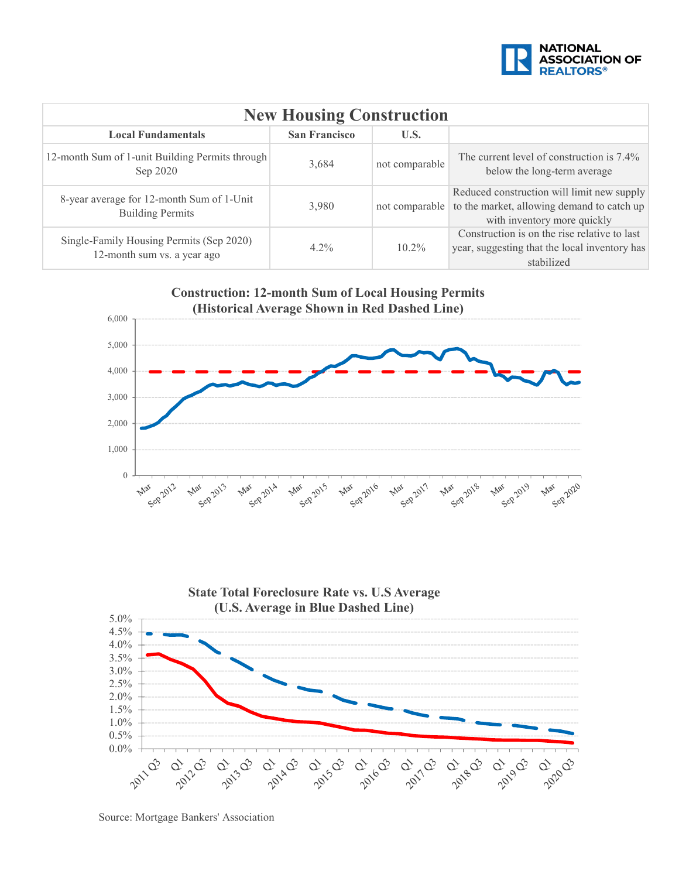![](_page_3_Picture_0.jpeg)

| <b>New Housing Construction</b>                                         |         |                |                                                                                                                         |  |  |  |
|-------------------------------------------------------------------------|---------|----------------|-------------------------------------------------------------------------------------------------------------------------|--|--|--|
| <b>San Francisco</b><br>U.S.<br><b>Local Fundamentals</b>               |         |                |                                                                                                                         |  |  |  |
| 12-month Sum of 1-unit Building Permits through<br>Sep 2020             | 3,684   | not comparable | The current level of construction is 7.4%<br>below the long-term average                                                |  |  |  |
| 8-year average for 12-month Sum of 1-Unit<br><b>Building Permits</b>    | 3,980   | not comparable | Reduced construction will limit new supply<br>to the market, allowing demand to catch up<br>with inventory more quickly |  |  |  |
| Single-Family Housing Permits (Sep 2020)<br>12-month sum vs. a year ago | $4.2\%$ | $10.2\%$       | Construction is on the rise relative to last<br>year, suggesting that the local inventory has<br>stabilized             |  |  |  |

![](_page_3_Figure_2.jpeg)

![](_page_3_Figure_3.jpeg)

Source: Mortgage Bankers' Association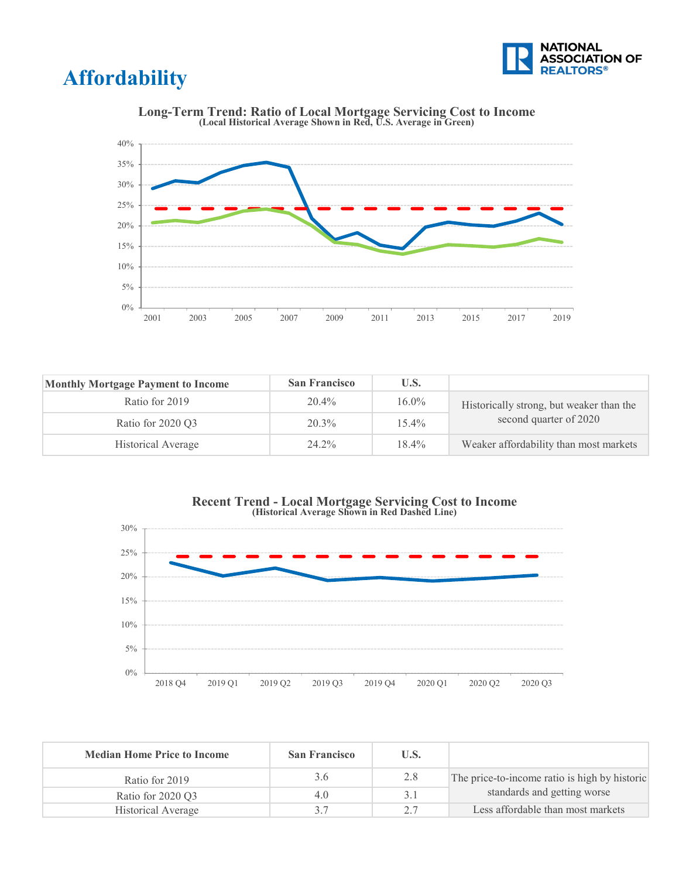![](_page_4_Picture_0.jpeg)

### **Affordability**

![](_page_4_Figure_2.jpeg)

**Long-Term Trend: Ratio of Local Mortgage Servicing Cost to Income (Local Historical Average Shown in Red, U.S. Average in Green)**

| <b>Monthly Mortgage Payment to Income</b> | <b>San Francisco</b> | U.S.     |                                          |
|-------------------------------------------|----------------------|----------|------------------------------------------|
| Ratio for 2019                            | 20.4%                | $16.0\%$ | Historically strong, but weaker than the |
| Ratio for 2020 Q3                         | $20.3\%$             | $15.4\%$ | second quarter of 2020                   |
| Historical Average                        | 24.2%                | $18.4\%$ | Weaker affordability than most markets   |

![](_page_4_Figure_5.jpeg)

![](_page_4_Figure_6.jpeg)

| <b>Median Home Price to Income</b> | <b>San Francisco</b> | U.S. |                                               |
|------------------------------------|----------------------|------|-----------------------------------------------|
| Ratio for 2019                     | 3.6                  | 2.8  | The price-to-income ratio is high by historic |
| Ratio for 2020 Q3                  | 4.0                  |      | standards and getting worse                   |
| Historical Average                 | 37                   |      | Less affordable than most markets             |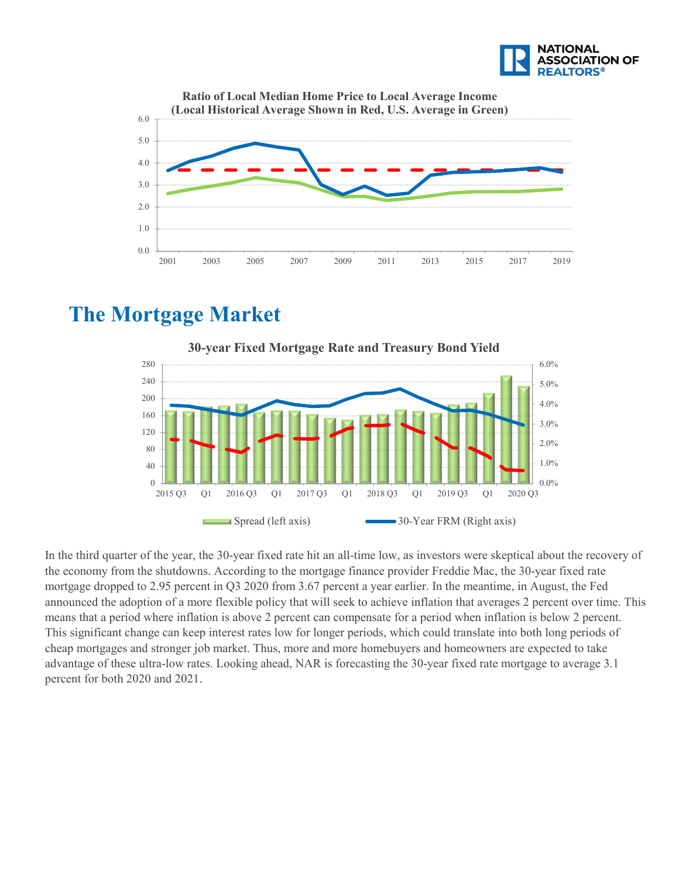![](_page_5_Picture_0.jpeg)

![](_page_5_Figure_1.jpeg)

### **The Mortgage Market**

![](_page_5_Figure_3.jpeg)

In the third quarter of the year, the 30-year fixed rate hit an all-time low, as investors were skeptical about the recovery of the economy from the shutdowns. According to the mortgage finance provider Freddie Mac, the 30-year fixed rate mortgage dropped to 2.95 percent in Q3 2020 from 3.67 percent a year earlier. In the meantime, in August, the Fed announced the adoption of a more flexible policy that will seek to achieve inflation that averages 2 percent over time. This means that a period where inflation is above 2 percent can compensate for a period when inflation is below 2 percent. This significant change can keep interest rates low for longer periods, which could translate into both long periods of cheap mortgages and stronger job market. Thus, more and more homebuyers and homeowners are expected to take advantage of these ultra-low rates. Looking ahead, NAR is forecasting the 30-year fixed rate mortgage to average 3.1 percent for both 2020 and 2021.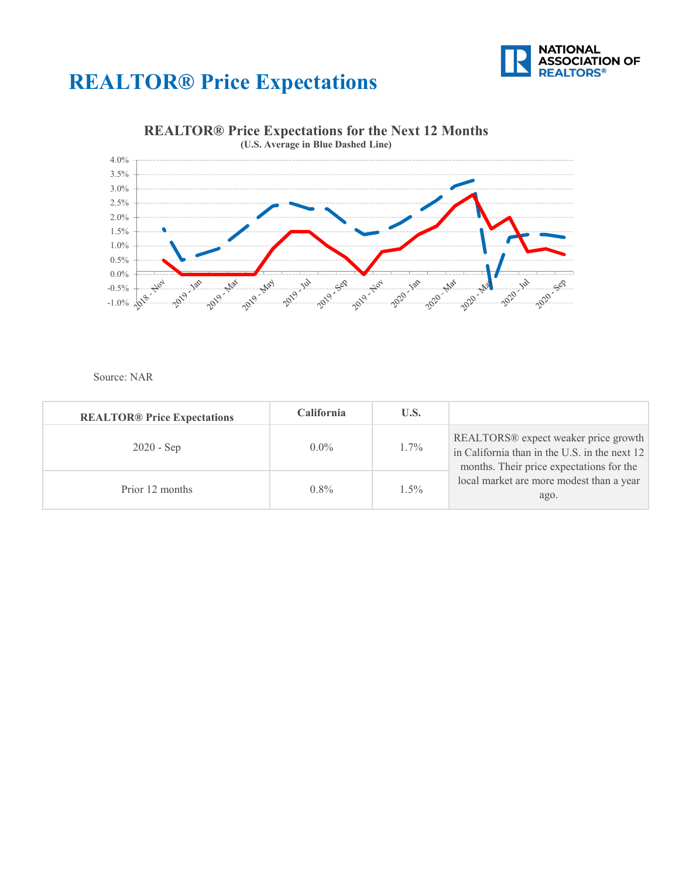![](_page_6_Picture_0.jpeg)

### **REALTOR® Price Expectations**

![](_page_6_Figure_2.jpeg)

#### **REALTOR® Price Expectations for the Next 12 Months**

Source: NAR

| <b>REALTOR® Price Expectations</b> | <b>California</b> | U.S.    |                                                                                                                                               |
|------------------------------------|-------------------|---------|-----------------------------------------------------------------------------------------------------------------------------------------------|
| $2020 - Sep$                       | $0.0\%$           | $1.7\%$ | REALTORS <sup>®</sup> expect weaker price growth<br>in California than in the U.S. in the next 12<br>months. Their price expectations for the |
| Prior 12 months                    | $0.8\%$           | $1.5\%$ | local market are more modest than a year<br>ago.                                                                                              |